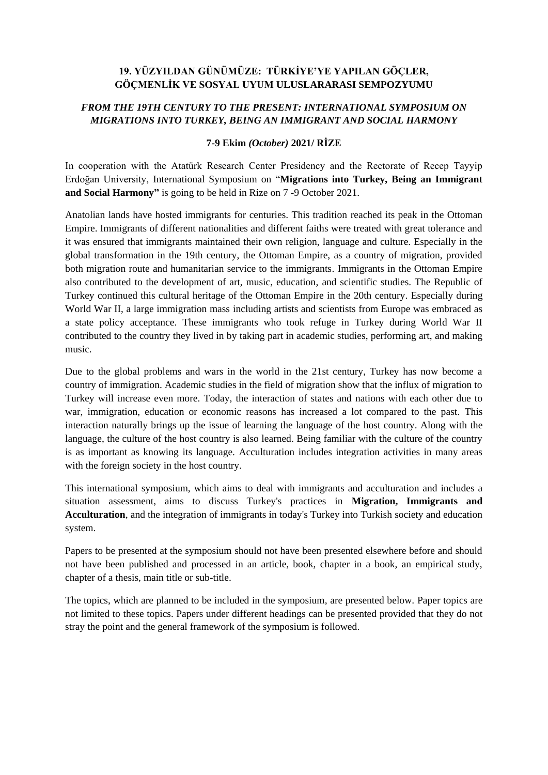## **19. YÜZYILDAN GÜNÜMÜZE: TÜRKİYE'YE YAPILAN GÖÇLER, GÖÇMENLİK VE SOSYAL UYUM ULUSLARARASI SEMPOZYUMU**

# *FROM THE 19TH CENTURY TO THE PRESENT: INTERNATIONAL SYMPOSIUM ON MIGRATIONS INTO TURKEY, BEING AN IMMIGRANT AND SOCIAL HARMONY*

#### **7-9 Ekim** *(October)* **2021/ RİZE**

In cooperation with the Atatürk Research Center Presidency and the Rectorate of Recep Tayyip Erdoğan University, International Symposium on "**Migrations into Turkey, Being an Immigrant and Social Harmony"** is going to be held in Rize on 7 -9 October 2021.

Anatolian lands have hosted immigrants for centuries. This tradition reached its peak in the Ottoman Empire. Immigrants of different nationalities and different faiths were treated with great tolerance and it was ensured that immigrants maintained their own religion, language and culture. Especially in the global transformation in the 19th century, the Ottoman Empire, as a country of migration, provided both migration route and humanitarian service to the immigrants. Immigrants in the Ottoman Empire also contributed to the development of art, music, education, and scientific studies. The Republic of Turkey continued this cultural heritage of the Ottoman Empire in the 20th century. Especially during World War II, a large immigration mass including artists and scientists from Europe was embraced as a state policy acceptance. These immigrants who took refuge in Turkey during World War II contributed to the country they lived in by taking part in academic studies, performing art, and making music.

Due to the global problems and wars in the world in the 21st century, Turkey has now become a country of immigration. Academic studies in the field of migration show that the influx of migration to Turkey will increase even more. Today, the interaction of states and nations with each other due to war, immigration, education or economic reasons has increased a lot compared to the past. This interaction naturally brings up the issue of learning the language of the host country. Along with the language, the culture of the host country is also learned. Being familiar with the culture of the country is as important as knowing its language. Acculturation includes integration activities in many areas with the foreign society in the host country.

This international symposium, which aims to deal with immigrants and acculturation and includes a situation assessment, aims to discuss Turkey's practices in **Migration, Immigrants and Acculturation**, and the integration of immigrants in today's Turkey into Turkish society and education system.

Papers to be presented at the symposium should not have been presented elsewhere before and should not have been published and processed in an article, book, chapter in a book, an empirical study, chapter of a thesis, main title or sub-title.

The topics, which are planned to be included in the symposium, are presented below. Paper topics are not limited to these topics. Papers under different headings can be presented provided that they do not stray the point and the general framework of the symposium is followed.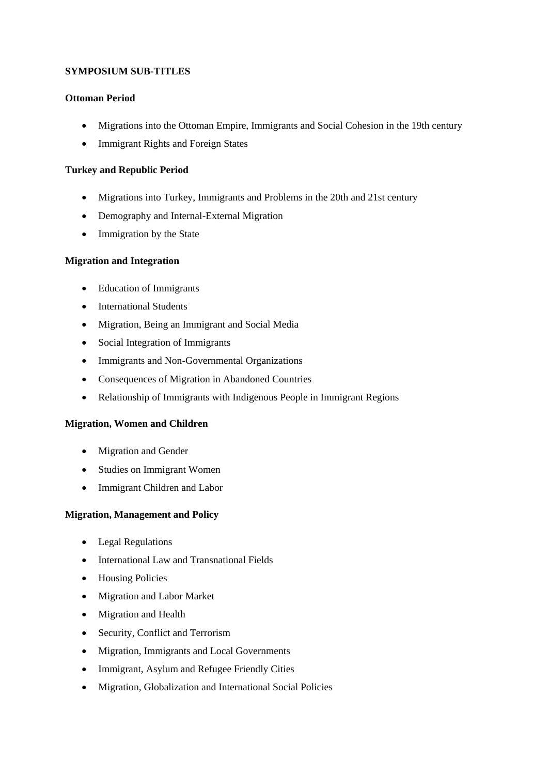## **SYMPOSIUM SUB-TITLES**

## **Ottoman Period**

- Migrations into the Ottoman Empire, Immigrants and Social Cohesion in the 19th century
- Immigrant Rights and Foreign States

#### **Turkey and Republic Period**

- Migrations into Turkey, Immigrants and Problems in the 20th and 21st century
- Demography and Internal-External Migration
- Immigration by the State

#### **Migration and Integration**

- Education of Immigrants
- International Students
- Migration, Being an Immigrant and Social Media
- Social Integration of Immigrants
- Immigrants and Non-Governmental Organizations
- Consequences of Migration in Abandoned Countries
- Relationship of Immigrants with Indigenous People in Immigrant Regions

#### **Migration, Women and Children**

- Migration and Gender
- Studies on Immigrant Women
- Immigrant Children and Labor

#### **Migration, Management and Policy**

- Legal Regulations
- International Law and Transnational Fields
- Housing Policies
- Migration and Labor Market
- Migration and Health
- Security, Conflict and Terrorism
- Migration, Immigrants and Local Governments
- Immigrant, Asylum and Refugee Friendly Cities
- Migration, Globalization and International Social Policies